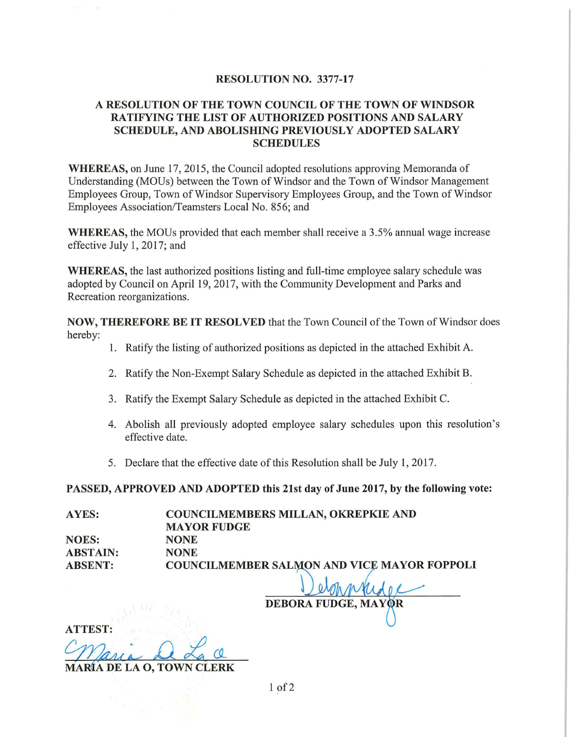#### RESOLUTION NO. 3377-17

### A RESOLUTION OF THE TOWN COUNCIL OF THE TOWN OF WINDSOR RATIFYING THE LIST OF AUTHORIZED POSITIONS AND SALARY SCHEDULE, AND ABOLISHING PREVIOUSLY ADOPTED SALARY **SCHEDULES**

WHEREAS, on June 17, 2015, the Council adopted resolutions approving Memoranda of Understanding (MOUs) between the Town of Windsor and the Town of Windsor Management Employees Group, Town of Windsor Supervisory Employees Group, and the Town of Windsor Employees Association/Teamsters Local No. 856; and

WHEREAS, the MOUs provided that each member shall receive a 3.5% annual wage increase effective July 1, 2017; and

WHEREAS, the last authorized positions listing and full-time employee salary schedule was adopted by Council on April 19, 2017, with the Community Development and Parks and Recreation reorganizations.

NOW, THEREFORE BE IT RESOLVED that the Town Council of the Town of Windsor does hereby:

- 1. Ratify the listing of authorized positions as depicted in the attached Exhibit A.
- 2. Ratify the Non-Exempt Salary Schedule as depicted in the attached Exhibit B.
- 3. Ratify the Exempt Salary Schedule as depicted in the attached Exhibit C.
- 4. Abolish all previously adopted employee salary schedules upon this resolution's effective date.
- 5. Declare that the effective date of this Resolution shall be July 1, 2017.

PASSED, APPROVED AND ADOPTED this 21st day of June 2017, by the following vote:

| AYES:           | <b>COUNCILMEMBERS MILLAN, OKREPKIE AND</b>  |
|-----------------|---------------------------------------------|
|                 | <b>MAYOR FUDGE</b>                          |
| <b>NOES:</b>    | <b>NONE</b>                                 |
| <b>ABSTAIN:</b> | <b>NONE</b>                                 |
| <b>ABSENT:</b>  | COUNCILMEMBER SALMON AND VICE MAYOR FOPPOLI |

**DEBORA FUDGE, MAY** 

ATTEST: <u>ana</u> de La C

1 of 2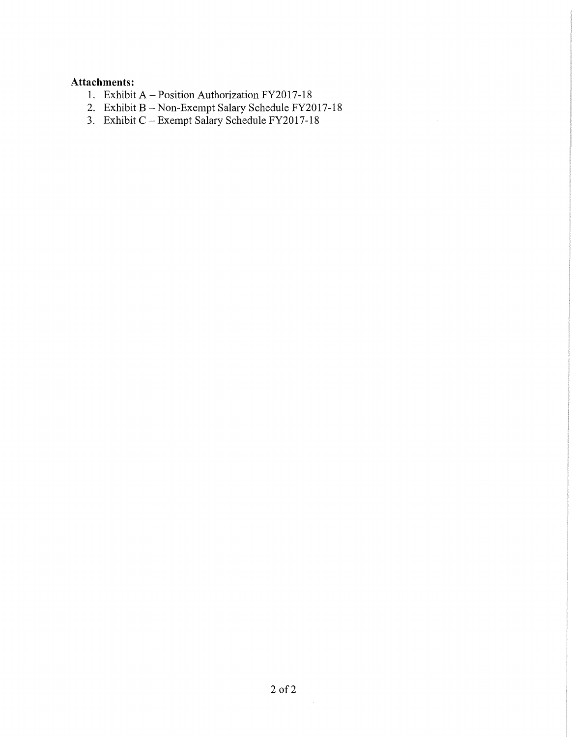### **Attachments:**

- 1. Exhibit A Position Authorization FY2017-18
- 2. Exhibit B Non-Exempt Salary Schedule FY2017-18
- 3. Exhibit C-Exempt Salary Schedule FY2017-18

 $\sim 10^6$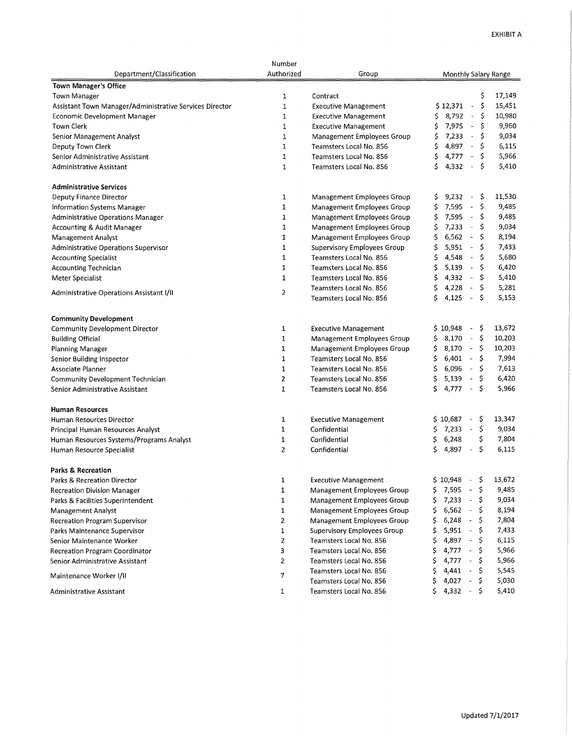$\mathbf{r}$ 

|                                                         | Number                  |                                    |                                                         |
|---------------------------------------------------------|-------------------------|------------------------------------|---------------------------------------------------------|
| Department/Classification                               | Authorized              | Group                              | Monthly Salary Range                                    |
| <b>Town Manager's Office</b>                            |                         |                                    |                                                         |
| <b>Town Manager</b>                                     | 1                       | Contract                           | \$<br>17,149                                            |
| Assistant Town Manager/Administrative Services Director | $\mathbf{1}$            | <b>Executive Management</b>        | \$<br>\$12,371<br>15,451<br>$\Box$                      |
| Economic Development Manager                            | 1                       | <b>Executive Management</b>        | \$<br>8,792<br>$\bar{\phantom{a}}$<br>10,980<br>\$      |
| <b>Town Clerk</b>                                       | $\mathbf{1}$            | <b>Executive Management</b>        | \$<br>7,975<br>\$<br>9,960<br>$\sim$                    |
| <b>Senior Management Analyst</b>                        | $\mathbf{1}$            | Management Employees Group         | 7,233<br>\$<br>9,034<br>\$<br>$\Box$                    |
| Deputy Town Clerk                                       | $\mathbf{1}$            | Teamsters Local No. 856            | 4,897<br>\$<br>\$<br>$\Box$<br>6,115                    |
| Senior Administrative Assistant                         | $\mathbf{1}$            | Teamsters Local No. 856            | \$<br>4,777<br>\$<br>5,966<br>$\equiv$                  |
| Administrative Assistant                                | $\mathbf{1}$            | Teamsters Local No. 856            | \$<br>\$<br>4,332<br>$\blacksquare$<br>5,410            |
| <b>Administrative Services</b>                          |                         |                                    |                                                         |
| Deputy Finance Director                                 | 1                       | Management Employees Group         | 11,530<br>9,232<br>-Ş<br>\$<br>$\overline{\phantom{a}}$ |
| Information Systems Manager                             | 1                       | Management Employees Group         | \$.<br>\$<br>7,595<br>9,485<br>$\blacksquare$           |
| <b>Administrative Operations Manager</b>                | 1                       | Management Employees Group         | -S<br>\$<br>7,595<br>$\overline{\phantom{a}}$<br>9,485  |
| Accounting & Audit Manager                              | $\mathbf 1$             | Management Employees Group         | \$<br>7,233<br>\$<br>9,034<br>$\sim$                    |
| Management Analyst                                      | $\mathbf{1}$            | Management Employees Group         | \$<br>6,562<br>\$<br>$\overline{\phantom{a}}$<br>8,194  |
| Administrative Operations Supervisor                    | 1                       | <b>Supervisory Employees Group</b> | \$<br>5,951<br>\$<br>7,433<br>$\blacksquare$            |
| <b>Accounting Specialist</b>                            | 1                       | Teamsters Local No. 856            | \$<br>4.548<br>5,680<br>\$<br>$\tilde{\phantom{a}}$     |
| <b>Accounting Technician</b>                            | 1                       | Teamsters Local No. 856            | \$<br>5,139<br>\$<br>6,420<br>$\overline{\phantom{a}}$  |
| Meter Specialist                                        | $\mathbf{1}$            | Teamsters Local No. 856            | 4,332<br>\$<br>\$<br>$\overline{\phantom{a}}$<br>5,410  |
|                                                         |                         | Teamsters Local No. 856            | \$<br>4,228<br>5,281<br>\$<br>$\blacksquare$            |
| Administrative Operations Assistant I/II                | 2                       | Teamsters Local No. 856            | 4,125<br>\$<br>Ś<br>5,153<br>$\overline{\phantom{a}}$   |
| <b>Community Development</b>                            |                         |                                    |                                                         |
| <b>Community Development Director</b>                   | 1                       | <b>Executive Management</b>        | 13,672<br>\$10,948<br>\$.<br>$\blacksquare$             |
| <b>Building Official</b>                                | 1                       | Management Employees Group         | 8,170<br>\$,<br>10,203<br>\$<br>$\sim$                  |
| Planning Manager                                        | 1                       | Management Employees Group         | \$<br>\$.<br>8,170<br>$\sim$<br>10,203                  |
| Senior Building Inspector                               | 1                       | Teamsters Local No. 856            | 6,401<br>7,994<br>\$<br>\$.<br>$\omega$                 |
| Associate Planner                                       | 1                       | Teamsters Local No. 856            | 7,613<br>\$<br>6,096<br>-\$<br>$\blacksquare$           |
| <b>Community Development Technician</b>                 | $\overline{2}$          | Teamsters Local No. 856            | \$<br>5,139<br>\$<br>6,420<br>$\overline{\phantom{a}}$  |
| Senior Administrative Assistant                         | $\mathbf{1}$            | Teamsters Local No. 856            | \$<br>4,777<br>\$<br>5,966<br>$\omega$                  |
| <b>Human Resources</b>                                  |                         |                                    |                                                         |
| Human Resources Director                                | $\mathbf{1}$            | <b>Executive Management</b>        | 13,347<br>\$10,687<br>\$.<br>$\overline{\phantom{a}}$   |
| Principal Human Resources Analyst                       | 1                       | Confidential                       | \$<br>7,233<br>9,034<br>\$<br>$\overline{\phantom{a}}$  |
| Human Resources Systems/Programs Analyst                | $\mathbf 1$             | Confidential                       | 6,248<br>\$<br>7,804<br>\$                              |
| Human Resource Specialist                               | $\overline{2}$          | Confidential                       | \$<br>\$<br>6,115<br>4,897                              |
| <b>Parks &amp; Recreation</b>                           |                         |                                    |                                                         |
| <b>Parks &amp; Recreation Director</b>                  | $\mathbf{1}$            | <b>Executive Management</b>        | 13,672<br>\$10,948<br>Ş<br>$\overline{\phantom{a}}$     |
| <b>Recreation Division Manager</b>                      | 1                       | Management Employees Group         | \$<br>\$.<br>7,595<br>9,485<br>$\overline{\phantom{a}}$ |
| Parks & Facilities Superintendent                       | 1                       | Management Employees Group         | $7,233 -$<br>9,034<br>\$<br>\$                          |
| <b>Management Analyst</b>                               | $\mathbf 1$             | <b>Management Employees Group</b>  | 8,194<br>\$<br>$6,562 -$<br>\$                          |
| <b>Recreation Program Supervisor</b>                    | $\overline{\mathbf{c}}$ | Management Employees Group         | \$<br>$6,248 -$<br>\$<br>7,804                          |
| Parks Maintenance Supervisor                            | 1                       | Supervisory Employees Group        | $5,951 -$<br>7,433<br>\$.<br>\$,                        |
| Senior Maintenance Worker                               | $\overline{2}$          | Teamsters Local No. 856            | \$<br>$4,897 -$<br>6,115<br>\$.                         |
| Recreation Program Coordinator                          | 3                       | Teamsters Local No. 856            | 4,777<br>5,966<br>\$<br>\$<br>$\sim$                    |
| Senior Administrative Assistant                         | $\overline{2}$          | Teamsters Local No. 856            | 4,777<br>\$<br>$\omega_{\rm c}$<br>\$<br>5,966          |
| Maintenance Worker I/II                                 | 7                       | Teamsters Local No. 856            | 4,441<br>\$<br>\$<br>$\sim$<br>5,545                    |
|                                                         |                         | Teamsters Local No. 856            | \$<br>\$<br>4,027<br>$\overline{\phantom{a}}$<br>5,030  |
| Administrative Assistant                                | 1                       | Teamsters Local No. 856            | \$.<br>4,332<br>\$<br>5,410<br>$\sim$                   |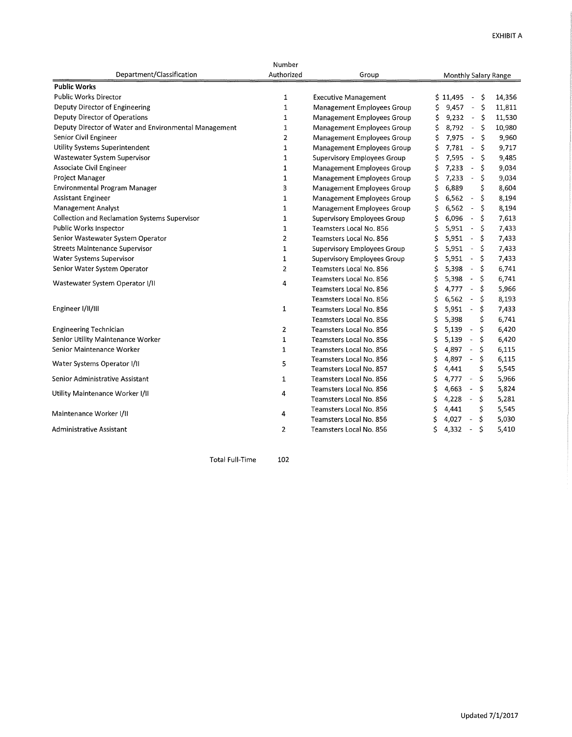|                                                       | Number         |                                    |                                                        |
|-------------------------------------------------------|----------------|------------------------------------|--------------------------------------------------------|
| Department/Classification                             | Authorized     | Group                              | Monthly Salary Range                                   |
| <b>Public Works</b>                                   |                |                                    |                                                        |
| <b>Public Works Director</b>                          | 1              | <b>Executive Management</b>        | Ŝ.<br>14,356<br>\$11,495<br>$\tilde{\phantom{a}}$      |
| Deputy Director of Engineering                        | $\mathbf{1}$   | Management Employees Group         | 9,457<br>$\sim$<br>Ŝ.<br>11,811<br>\$                  |
| Deputy Director of Operations                         | $\mathbf{1}$   | Management Employees Group         | Ŝ<br>\$<br>9,232<br>11,530<br>$\sim$                   |
| Deputy Director of Water and Environmental Management | 1              | Management Employees Group         | \$<br>\$<br>8,792<br>$\bar{\phantom{a}}$<br>10,980     |
| Senior Civil Engineer                                 | 2              | Management Employees Group         | \$<br>\$<br>7,975<br>$\omega$<br>9,960                 |
| Utility Systems Superintendent                        | $\mathbf{1}$   | Management Employees Group         | Ś<br>7,781<br>\$<br>$\bar{\phantom{a}}$<br>9,717       |
| Wastewater System Supervisor                          | $\mathbf{1}$   | Supervisory Employees Group        | \$<br>7,595<br>\$<br>9,485<br>$\omega$                 |
| Associate Civil Engineer                              | 1              | Management Employees Group         | 7,233<br>\$<br>Ś<br>9,034<br>$\bar{\phantom{a}}$       |
| Project Manager                                       | $\mathbf{1}$   | Management Employees Group         | Ś<br>7,233<br>\$<br>9,034<br>$\blacksquare$            |
| Environmental Program Manager                         | 3              | <b>Management Employees Group</b>  | \$<br>6.889<br>\$<br>8,604                             |
| <b>Assistant Engineer</b>                             | $\mathbf{1}$   | Management Employees Group         | \$<br>6.562<br>Ś<br>8,194<br>$\overline{\phantom{a}}$  |
| Management Analyst                                    | $\mathbf{1}$   | Management Employees Group         | \$<br>6,562<br>\$<br>8,194<br>$\overline{\phantom{a}}$ |
| <b>Collection and Reclamation Systems Supervisor</b>  | $\mathbf{1}$   | <b>Supervisory Employees Group</b> | 6.096<br>Ś<br>7,613<br>Ś<br>$\blacksquare$             |
| Public Works Inspector                                | $\mathbf{1}$   | Teamsters Local No. 856            | Ś<br>5,951<br>\$<br>7,433<br>$\blacksquare$            |
| Senior Wastewater System Operator                     | $\overline{2}$ | Teamsters Local No. 856            | 5.951<br>\$<br>Ś<br>7,433<br>$\overline{\phantom{a}}$  |
| <b>Streets Maintenance Supervisor</b>                 | $\mathbf{1}$   | <b>Supervisory Employees Group</b> | \$<br>5,951<br>\$<br>7,433<br>$\overline{\phantom{a}}$ |
| Water Systems Supervisor                              | $\mathbf 1$    | <b>Supervisory Employees Group</b> | 5,951<br>\$<br>\$<br>7,433<br>$\blacksquare$           |
| Senior Water System Operator                          | $\overline{2}$ | Teamsters Local No. 856            | 5,398<br>\$<br>6,741<br>Ś<br>$\equiv$                  |
| Wastewater System Operator I/II                       | 4              | Teamsters Local No. 856            | 5,398<br>\$<br>6,741<br>$\overline{\phantom{a}}$       |
|                                                       |                | Teamsters Local No. 856            | 4.777<br>Ś<br>5,966<br>$\overline{\phantom{a}}$        |
|                                                       |                | Teamsters Local No. 856            | 6,562<br>\$<br>8,193<br>$\overline{\phantom{a}}$       |
| Engineer I/II/III                                     | 1              | Teamsters Local No. 856            | \$<br>Ś<br>5.951<br>7,433<br>$\blacksquare$            |
|                                                       |                | Teamsters Local No. 856            | 5,398<br>\$<br>6,741<br>\$                             |
| <b>Engineering Technician</b>                         | 2              | Teamsters Local No. 856            | Ś<br>5,139<br>Ś<br>6,420<br>$\overline{\phantom{a}}$   |
| Senior Utility Maintenance Worker                     | $\mathbf{1}$   | Teamsters Local No. 856            | Ś<br>5,139<br>Ś<br>6,420<br>$\omega$                   |
| Senior Maintenance Worker                             | $\mathbf{1}$   | Teamsters Local No. 856            | Ś<br>4,897<br>\$<br>6,115<br>$\bar{a}$                 |
| Water Systems Operator I/II                           | 5              | Teamsters Local No. 856            | \$<br>\$<br>4,897<br>6,115<br>$\overline{\phantom{a}}$ |
|                                                       |                | Teamsters Local No. 857            | \$<br>\$<br>4,441<br>5,545                             |
| Senior Administrative Assistant                       | 1              | Teamsters Local No. 856            | \$<br>4,777<br>\$<br>5,966<br>$\overline{\phantom{a}}$ |
| Utility Maintenance Worker I/II                       | 4              | Teamsters Local No. 856            | Ś<br>4,663<br>\$<br>5,824<br>$\overline{\phantom{a}}$  |
|                                                       |                | Teamsters Local No. 856            | \$<br>\$<br>4,228<br>5,281<br>$\tilde{\phantom{a}}$    |
| Maintenance Worker I/II                               | 4              | Teamsters Local No. 856            | \$<br>\$<br>4,441<br>5,545                             |
|                                                       |                | Teamsters Local No. 856            | \$<br>\$<br>4,027<br>5,030<br>$\overline{\phantom{a}}$ |
| Administrative Assistant                              | $\mathbf{2}$   | Teamsters Local No. 856            | Ś<br>4,332<br>Ś<br>5,410                               |
|                                                       |                |                                    |                                                        |

Total Full-Time 102

Updated 7/1/2017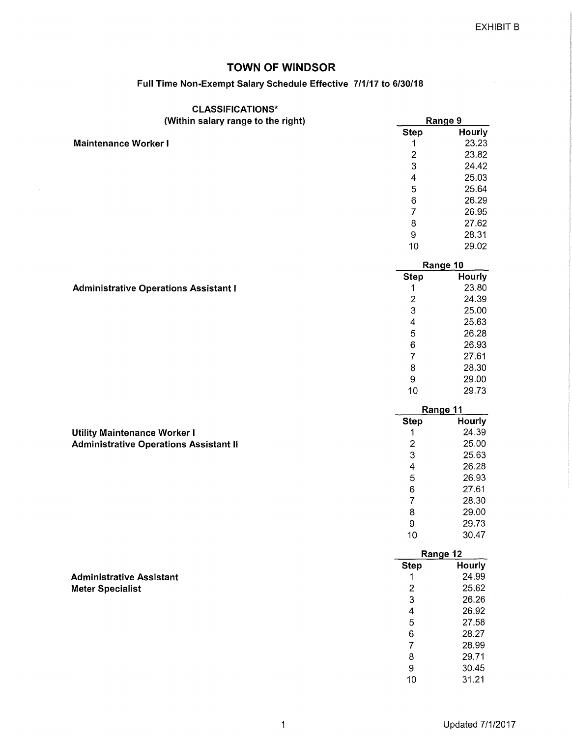## **Full Time Non-Exempt Salary Schedule Effective 7/1/17 to 6/30/18**

| <b>CLASSIFICATIONS*</b>                       |                           |          |
|-----------------------------------------------|---------------------------|----------|
| (Within salary range to the right)            |                           | Range 9  |
|                                               | <b>Step</b>               | Hourly   |
| <b>Maintenance Worker I</b>                   | 1                         | 23.23    |
|                                               | $\mathbf 2$               | 23.82    |
|                                               | $\mathbf 3$               | 24.42    |
|                                               | 4                         | 25.03    |
|                                               | $\mathbf 5$               | 25.64    |
|                                               | $\,6$                     | 26.29    |
|                                               | $\overline{7}$            | 26.95    |
|                                               | $\bf8$                    | 27.62    |
|                                               | 9                         | 28.31    |
|                                               | 10                        | 29.02    |
|                                               |                           | Range 10 |
|                                               | <b>Step</b>               | Hourly   |
| <b>Administrative Operations Assistant I</b>  | 1                         | 23.80    |
|                                               | $\overline{\mathbf{c}}$   | 24.39    |
|                                               | 3                         | 25.00    |
|                                               | 4                         | 25.63    |
|                                               | $\overline{5}$            | 26.28    |
|                                               | 6                         | 26.93    |
|                                               | $\overline{7}$            | 27.61    |
|                                               |                           | 28.30    |
|                                               | 8                         |          |
|                                               | $\boldsymbol{9}$<br>10    | 29.00    |
|                                               |                           |          |
|                                               |                           | 29.73    |
|                                               |                           | Range 11 |
|                                               | <b>Step</b>               | Hourly   |
| <b>Utility Maintenance Worker I</b>           | 1                         | 24.39    |
| <b>Administrative Operations Assistant II</b> | $\overline{c}$            | 25.00    |
|                                               | $\ensuremath{\mathsf{3}}$ | 25.63    |
|                                               | 4                         | 26.28    |
|                                               | 5                         | 26.93    |
|                                               | $\,6$                     | 27.61    |
|                                               | 7                         | 28.30    |
|                                               | $\bf 8$                   | 29.00    |
|                                               | 9                         | 29.73    |
|                                               | 10                        | 30.47    |
|                                               |                           | Range 12 |
|                                               | <b>Step</b>               | Hourly   |
| <b>Administrative Assistant</b>               | 1                         | 24.99    |
| <b>Meter Specialist</b>                       | $\overline{\mathbf{c}}$   | 25.62    |
|                                               | 3                         | 26.26    |
|                                               | 4                         | 26.92    |
|                                               | 5                         | 27.58    |
|                                               | 6                         | 28.27    |
|                                               | $\overline{7}$            | 28.99    |
|                                               | 8                         | 29.71    |
|                                               | $\boldsymbol{9}$          | 30.45    |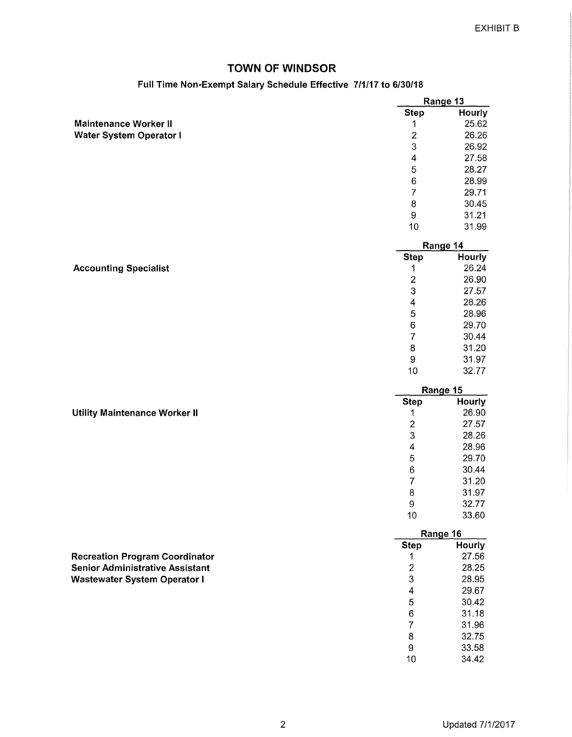### **Full Time Non-Exempt Salary Schedule Effective 7/1/17 to 6/30/18**

|                                        |                         | Range 13      |
|----------------------------------------|-------------------------|---------------|
|                                        | <b>Step</b>             | Hourly        |
| <b>Maintenance Worker II</b>           | 1                       | 25.62         |
| <b>Water System Operator I</b>         | $\overline{\mathbf{c}}$ | 26.26         |
|                                        | 3                       | 26.92         |
|                                        | $\overline{4}$          | 27.58         |
|                                        | 5                       | 28.27         |
|                                        | $\,6$                   | 28.99         |
|                                        | $\overline{7}$          | 29.71         |
|                                        | 8                       | 30.45         |
|                                        | $\boldsymbol{9}$        | 31.21         |
|                                        | 10                      | 31.99         |
|                                        |                         | Range 14      |
|                                        | <b>Step</b>             | Hourly        |
| <b>Accounting Specialist</b>           | 1                       | 26.24         |
|                                        | $\overline{c}$          | 26.90         |
|                                        | 3                       | 27.57         |
|                                        | $\overline{4}$          | 28.26         |
|                                        | 5                       | 28.96         |
|                                        | $\,6\,$                 | 29.70         |
|                                        | $\overline{7}$          | 30.44         |
|                                        | $\bf8$                  | 31.20         |
|                                        | $\boldsymbol{9}$        | 31.97         |
|                                        | 10                      | 32.77         |
|                                        |                         | Range 15      |
|                                        | <b>Step</b>             | <b>Hourly</b> |
| <b>Utility Maintenance Worker II</b>   | 1                       | 26.90         |
|                                        | $\overline{c}$          | 27.57         |
|                                        | 3                       | 28.26         |
|                                        | 4                       | 28.96         |
|                                        | 5                       | 29.70         |
|                                        | 6                       | 30.44         |
|                                        | 7                       | 31.20         |
|                                        | 8                       | 31.97         |
|                                        | 9                       | 32.77         |
|                                        | 10                      | 33.60         |
|                                        |                         | Range 16      |
|                                        | <b>Step</b>             | Hourly        |
| <b>Recreation Program Coordinator</b>  | 1                       | 27.56         |
| <b>Senior Administrative Assistant</b> | $\boldsymbol{2}$        | 28.25         |
| <b>Wastewater System Operator I</b>    | 3                       | 28.95         |
|                                        | $\overline{\mathbf{4}}$ | 29.67         |
|                                        | 5                       | 30.42         |
|                                        | $\,6\,$                 | 31.18         |
|                                        | $\overline{7}$          | 31.96         |
|                                        | $\bf 8$                 | 32.75         |

9 33.58 10 34.42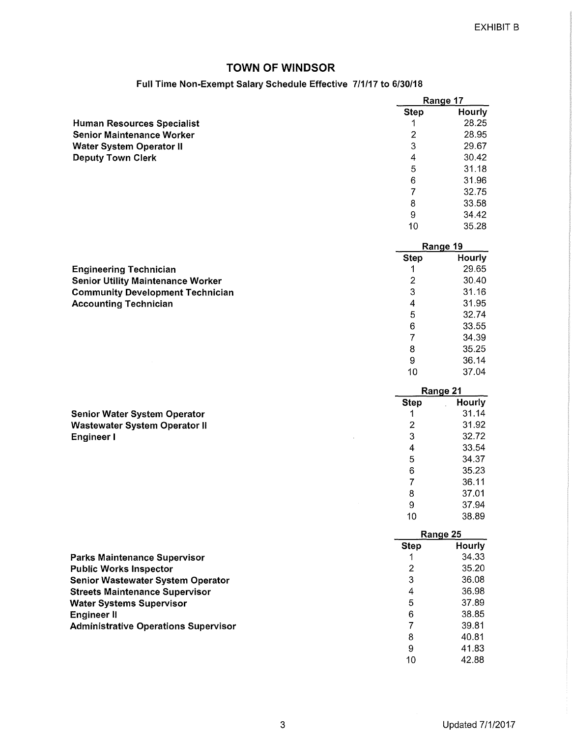10 35.28

7 34.39<br>8 35.25 8 35.25<br>9 36.14 9 36.14<br>10 37.04

10 37.04

9 37.94

8 37.01<br>9 37.94

10 38.89

## TOWN OF WINDSOR

### Full Time Non-Exempt Salary Schedule Effective 7/1/17 to 6/30/18

|                                   | Range 17    |        |
|-----------------------------------|-------------|--------|
|                                   | <b>Step</b> | Hourly |
| <b>Human Resources Specialist</b> |             | 28.25  |
| <b>Senior Maintenance Worker</b>  | 2           | 28.95  |
| <b>Water System Operator II</b>   | 3           | 29.67  |
| <b>Deputy Town Clerk</b>          | 4           | 30.42  |
|                                   | 5           | 31.18  |
|                                   | 6           | 31.96  |
|                                   |             | 32.75  |
|                                   | 8           | 33.58  |
|                                   | 9           | 34.42  |

|                                          |             | Range 19      |
|------------------------------------------|-------------|---------------|
|                                          | <b>Step</b> | <b>Hourly</b> |
| <b>Engineering Technician</b>            |             | 29.65         |
| <b>Senior Utility Maintenance Worker</b> |             | 30.40         |
| <b>Community Development Technician</b>  | 3           | 31.16         |
| <b>Accounting Technician</b>             | 4           | 31.95         |
|                                          | 5           | 32.74         |
|                                          | 6           | 33.55         |

|                                      |             | Range 21 |
|--------------------------------------|-------------|----------|
|                                      | <b>Step</b> | Hourly   |
| <b>Senior Water System Operator</b>  |             | 31.14    |
| <b>Wastewater System Operator II</b> | 2           | 31.92    |
| Engineer I                           | 3           | 32.72    |
|                                      | 4           | 33.54    |
|                                      | 5           | 34.37    |
|                                      | 6           | 35.23    |
|                                      |             | 36.11    |

|                                             |             | Range 25      |
|---------------------------------------------|-------------|---------------|
|                                             | <b>Step</b> | <b>Hourly</b> |
| <b>Parks Maintenance Supervisor</b>         |             | 34.33         |
| <b>Public Works Inspector</b>               | 2           | 35.20         |
| <b>Senior Wastewater System Operator</b>    | 3           | 36.08         |
| <b>Streets Maintenance Supervisor</b>       | 4           | 36.98         |
| <b>Water Systems Supervisor</b>             | 5           | 37.89         |
| <b>Engineer II</b>                          | 6           | 38.85         |
| <b>Administrative Operations Supervisor</b> |             | 39.81         |
|                                             | 8           | 40.81         |
|                                             | 9           | 41.83         |
|                                             | 10          | 42.88         |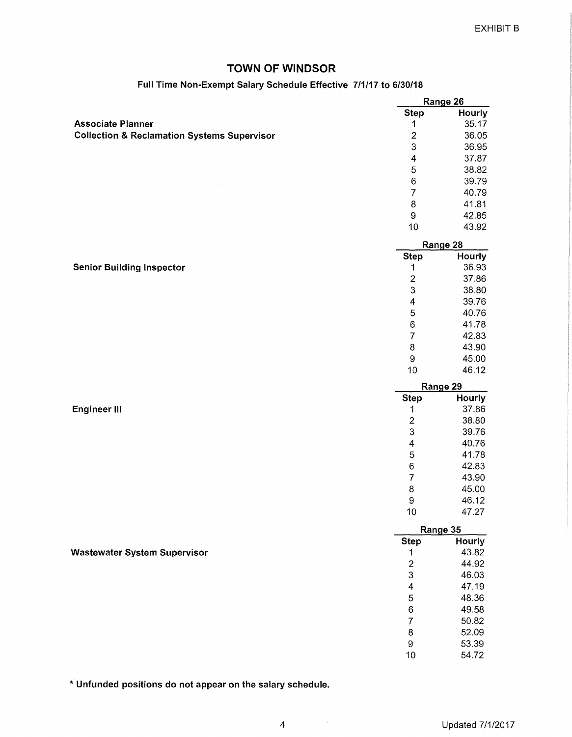$\sim$ 

# **Full Time Non-Exempt Salary Schedule Effective 7/1/17 to 6/30/18**

|                                                        |                         | Range 26       |
|--------------------------------------------------------|-------------------------|----------------|
|                                                        | <b>Step</b>             | Hourly         |
| <b>Associate Planner</b>                               | 1                       | 35.17          |
| <b>Collection &amp; Reclamation Systems Supervisor</b> | $\boldsymbol{2}$        | 36.05          |
|                                                        | 3                       | 36.95          |
|                                                        | $\overline{4}$          | 37.87          |
|                                                        | 5                       | 38.82          |
|                                                        | $\,6\,$                 | 39.79          |
|                                                        | $\overline{7}$          | 40.79          |
|                                                        | $\bf 8$                 | 41.81          |
|                                                        | $\hbox{9}$              | 42.85          |
|                                                        | 10                      | 43.92          |
|                                                        |                         | Range 28       |
|                                                        | <b>Step</b>             | Hourly         |
| <b>Senior Building Inspector</b>                       | 1                       | 36.93          |
|                                                        | $\overline{2}$          | 37.86          |
|                                                        | 3                       | 38.80          |
|                                                        | $\overline{\mathbf{4}}$ | 39.76          |
|                                                        | 5                       | 40.76          |
|                                                        | 6                       | 41.78          |
|                                                        | $\overline{7}$          | 42.83          |
|                                                        | $\bf8$                  | 43.90          |
|                                                        | $\boldsymbol{9}$        | 45.00          |
|                                                        | 10                      | 46.12          |
|                                                        |                         |                |
|                                                        |                         |                |
|                                                        |                         | Range 29       |
|                                                        | <b>Step</b>             | Hourly         |
| <b>Engineer III</b>                                    | 1                       | 37.86          |
|                                                        | $\overline{c}$          | 38.80          |
|                                                        | 3                       | 39.76          |
|                                                        | 4                       | 40.76          |
|                                                        | 5                       | 41.78          |
|                                                        | $\,6$                   | 42.83          |
|                                                        | $\overline{7}$          | 43.90          |
|                                                        | 8                       | 45.00          |
|                                                        | 9                       | 46.12          |
|                                                        | 10                      | 47.27          |
|                                                        |                         | Range 35       |
|                                                        | <b>Step</b>             | Hourly         |
| <b>Wastewater System Supervisor</b>                    | $\mathbf 1$             | 43.82          |
|                                                        | $\overline{c}$          | 44.92          |
|                                                        | 3                       | 46.03          |
|                                                        | 4                       | 47.19          |
|                                                        | 5                       | 48.36          |
|                                                        | $\,6$                   | 49.58          |
|                                                        | $\overline{7}$          | 50.82          |
|                                                        | $\bf8$                  | 52.09          |
|                                                        | $\boldsymbol{9}$<br>10  | 53.39<br>54.72 |

\* **Unfunded positions do not appear on the salary schedule.**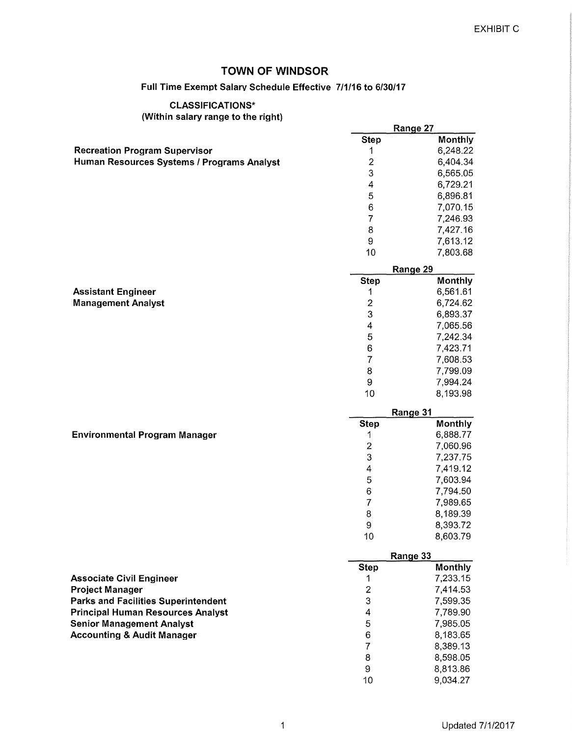### Full Time Exempt Salarv Schedule Effective 7/1/16 to 6/30/17

# CLASSIFICATIONS\*

(Within salary range to the right)

|                                            |                           | Range 27             |
|--------------------------------------------|---------------------------|----------------------|
|                                            | <b>Step</b>               | Monthly              |
| <b>Recreation Program Supervisor</b>       | 1                         | 6,248.22             |
| Human Resources Systems / Programs Analyst | $\overline{c}$            | 6,404.34             |
|                                            | 3                         | 6,565.05             |
|                                            | $\overline{\mathbf{4}}$   | 6,729.21             |
|                                            | 5                         | 6,896.81             |
|                                            | 6                         | 7,070.15             |
|                                            | 7                         | 7,246.93             |
|                                            | 8                         | 7,427.16             |
|                                            | 9                         | 7,613.12             |
|                                            | 10                        | 7,803.68             |
|                                            |                           | Range 29             |
|                                            | <b>Step</b>               | Monthly              |
| <b>Assistant Engineer</b>                  | 1                         | 6,561.61             |
| <b>Management Analyst</b>                  | $\overline{\mathbf{c}}$   | 6,724.62             |
|                                            | $\ensuremath{\mathsf{3}}$ | 6,893.37             |
|                                            | 4                         | 7,065.56             |
|                                            | 5                         | 7,242.34             |
|                                            | $\,6$                     | 7,423.71             |
|                                            | $\overline{7}$            | 7,608.53             |
|                                            | 8                         | 7,799.09             |
|                                            | 9                         | 7,994.24             |
|                                            | 10                        | 8,193.98             |
|                                            |                           |                      |
|                                            |                           |                      |
|                                            |                           | Range 31             |
|                                            | <b>Step</b><br>1          | Monthly              |
| <b>Environmental Program Manager</b>       |                           | 6,888.77             |
|                                            | $\overline{\mathbf{c}}$   | 7,060.96             |
|                                            | 3                         | 7,237.75             |
|                                            | 4                         | 7,419.12             |
|                                            | 5                         | 7,603.94             |
|                                            | 6                         | 7,794.50             |
|                                            | $\overline{7}$            | 7,989.65             |
|                                            | 8<br>9                    | 8,189.39<br>8,393.72 |
|                                            | 10                        | 8,603.79             |
|                                            |                           |                      |
|                                            | <b>Step</b>               | Range 33<br>Monthly  |
| <b>Associate Civil Engineer</b>            | 1                         | 7,233.15             |
| <b>Project Manager</b>                     | $\overline{2}$            | 7,414.53             |
| <b>Parks and Facilities Superintendent</b> | 3                         | 7,599.35             |
| <b>Principal Human Resources Analyst</b>   | 4                         | 7,789.90             |
| <b>Senior Management Analyst</b>           | 5                         | 7,985.05             |
| <b>Accounting &amp; Audit Manager</b>      | 6                         | 8,183.65             |
|                                            | 7                         | 8,389.13             |
|                                            | 8                         | 8,598.05             |
|                                            | 9                         | 8,813.86             |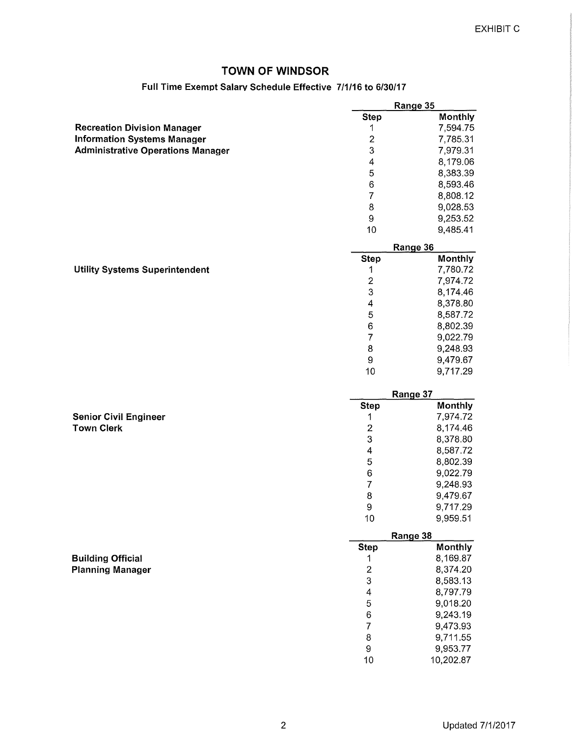#### **Full Time Exempt Salarv Schedule Effective 7/1/16 to 6/30/17**

|                                          |                           | Range 35              |
|------------------------------------------|---------------------------|-----------------------|
|                                          | <b>Step</b>               | Monthly               |
| <b>Recreation Division Manager</b>       | 1                         | 7,594.75              |
| <b>Information Systems Manager</b>       | $\boldsymbol{2}$          | 7,785.31              |
| <b>Administrative Operations Manager</b> | 3                         | 7,979.31              |
|                                          | 4                         | 8,179.06              |
|                                          | 5                         | 8,383.39              |
|                                          | 6                         | 8,593.46              |
|                                          | $\overline{7}$            | 8,808.12              |
|                                          | 8                         | 9,028.53              |
|                                          | $\boldsymbol{9}$          | 9,253.52              |
|                                          | 10                        | 9,485.41              |
|                                          |                           | Range 36              |
|                                          | <b>Step</b>               | Monthly               |
| <b>Utility Systems Superintendent</b>    | 1                         | 7,780.72              |
|                                          | $\boldsymbol{2}$          | 7,974.72              |
|                                          | 3                         | 8,174.46              |
|                                          | 4                         | 8,378.80              |
|                                          | 5                         | 8,587.72              |
|                                          | $\,6$                     |                       |
|                                          |                           | 8,802.39              |
|                                          | $\overline{7}$            | 9,022.79              |
|                                          | $\bf8$                    | 9,248.93              |
|                                          | $\boldsymbol{9}$          | 9,479.67              |
|                                          | 10                        | 9,717.29              |
|                                          |                           |                       |
|                                          |                           | Range 37              |
|                                          | <b>Step</b>               | Monthly               |
| <b>Senior Civil Engineer</b>             | 1                         | 7,974.72              |
| <b>Town Clerk</b>                        | $\overline{c}$            | 8,174.46              |
|                                          | 3                         | 8,378.80              |
|                                          | $\overline{\mathbf{4}}$   | 8,587.72              |
|                                          | 5                         |                       |
|                                          |                           | 8,802.39              |
|                                          | $\,6\,$<br>$\overline{7}$ | 9,022.79              |
|                                          |                           | 9,248.93              |
|                                          | 8                         | 9,479.67              |
|                                          | 9<br>10                   | 9,717.29<br>9,959.51  |
|                                          |                           |                       |
|                                          | <b>Step</b>               | Range 38<br>Monthly   |
|                                          | 1                         |                       |
| <b>Building Official</b>                 |                           | 8,169.87              |
| <b>Planning Manager</b>                  | $\mathbf{2}$              | 8,374.20              |
|                                          | 3                         | 8,583.13              |
|                                          | $\overline{4}$            | 8,797.79              |
|                                          | 5                         | 9,018.20              |
|                                          | 6                         | 9,243.19              |
|                                          | $\overline{7}$            | 9,473.93              |
|                                          | 8                         | 9,711.55              |
|                                          | $\boldsymbol{9}$<br>10    | 9,953.77<br>10,202.87 |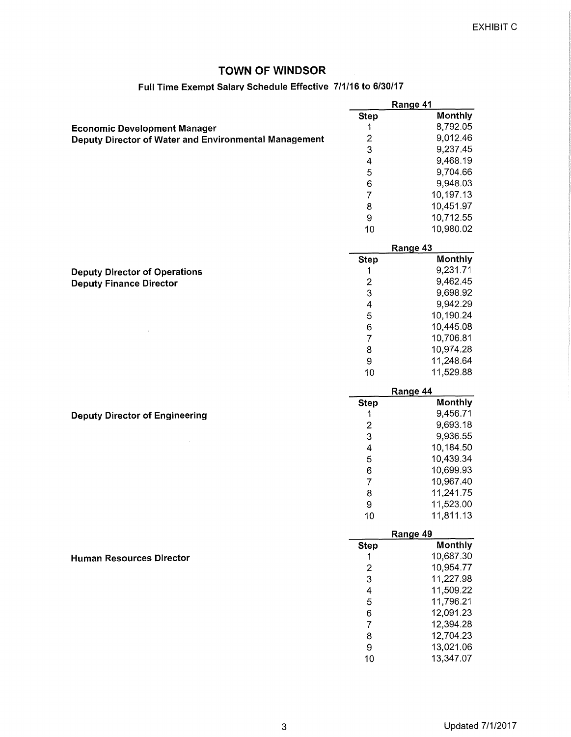### **Full Time Exempt Salarv Schedule Effective 7/1/16 to 6/30/17**

|                                                       |                          | Range 41               |  |
|-------------------------------------------------------|--------------------------|------------------------|--|
|                                                       | <b>Step</b>              | Monthly                |  |
| <b>Economic Development Manager</b>                   | 1                        | 8,792.05               |  |
| Deputy Director of Water and Environmental Management | $\overline{\mathbf{c}}$  | 9,012.46               |  |
|                                                       | 3                        | 9,237.45               |  |
|                                                       | $\overline{\mathcal{A}}$ | 9,468.19               |  |
|                                                       | 5                        | 9,704.66               |  |
|                                                       | 6                        | 9,948.03               |  |
|                                                       | $\overline{7}$           | 10,197.13              |  |
|                                                       | 8                        | 10,451.97              |  |
|                                                       | 9                        | 10,712.55              |  |
|                                                       | 10                       | 10,980.02              |  |
|                                                       |                          | Range 43               |  |
|                                                       | <b>Step</b>              | Monthly                |  |
| <b>Deputy Director of Operations</b>                  | 1                        | 9,231.71               |  |
| <b>Deputy Finance Director</b>                        | $\overline{\mathbf{c}}$  | 9,462.45               |  |
|                                                       | 3                        | 9,698.92               |  |
|                                                       | 4                        | 9,942.29               |  |
|                                                       | 5                        | 10,190.24              |  |
|                                                       | $\,$ 6 $\,$              | 10,445.08              |  |
|                                                       | $\overline{7}$           | 10,706.81              |  |
|                                                       | 8                        | 10,974.28              |  |
|                                                       | 9                        | 11,248.64              |  |
|                                                       | 10                       | 11,529.88              |  |
|                                                       |                          |                        |  |
|                                                       |                          | Range 44               |  |
|                                                       | <b>Step</b>              | Monthly                |  |
| <b>Deputy Director of Engineering</b>                 | 1                        | 9,456.71               |  |
|                                                       | $\overline{\mathbf{c}}$  | 9,693.18               |  |
|                                                       | 3                        | 9,936.55               |  |
|                                                       | 4                        | 10,184.50              |  |
|                                                       | 5                        | 10,439.34              |  |
|                                                       | $\,6$                    | 10,699.93              |  |
|                                                       | $\overline{7}$           | 10,967.40              |  |
|                                                       | 8                        | 11,241.75              |  |
|                                                       | 9                        | 11,523.00              |  |
|                                                       | 10                       | 11,811.13              |  |
|                                                       | Range 49<br>Monthly      |                        |  |
|                                                       | <b>Step</b>              |                        |  |
| <b>Human Resources Director</b>                       | 1                        | 10,687.30<br>10,954.77 |  |
|                                                       | $\overline{c}$           |                        |  |
|                                                       | 3                        | 11,227.98              |  |
|                                                       | 4                        | 11,509.22              |  |
|                                                       | 5                        | 11,796.21              |  |
|                                                       | 6                        | 12,091.23              |  |
|                                                       | $\overline{7}$           | 12,394.28              |  |
|                                                       | 8                        | 12,704.23              |  |
|                                                       | 9                        | 13,021.06              |  |
|                                                       | 10                       | 13,347.07              |  |
|                                                       |                          |                        |  |